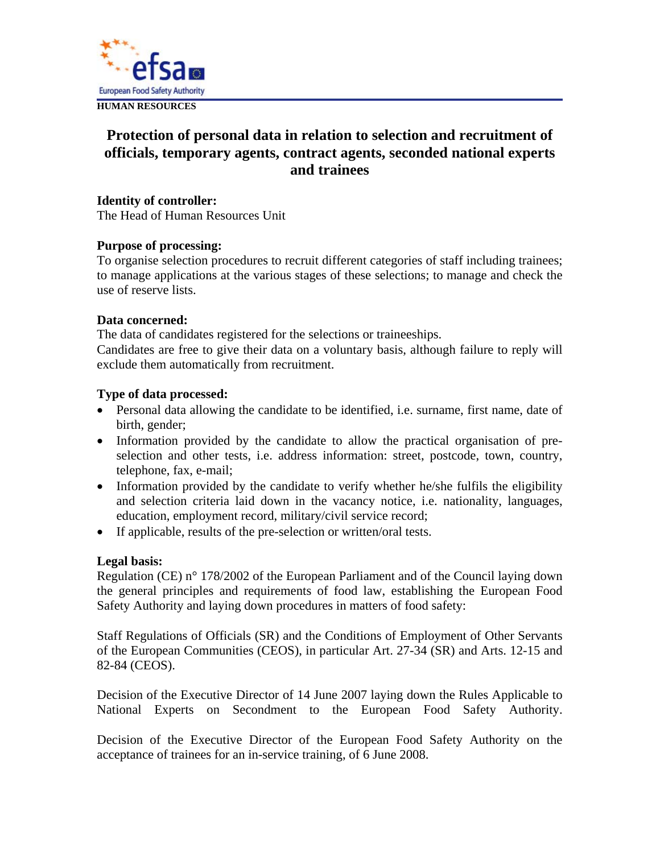

# **Protection of personal data in relation to selection and recruitment of officials, temporary agents, contract agents, seconded national experts and trainees**

# **Identity of controller:**

The Head of Human Resources Unit

# **Purpose of processing:**

To organise selection procedures to recruit different categories of staff including trainees; to manage applications at the various stages of these selections; to manage and check the use of reserve lists.

# **Data concerned:**

The data of candidates registered for the selections or traineeships. Candidates are free to give their data on a voluntary basis, although failure to reply will exclude them automatically from recruitment.

# **Type of data processed:**

- Personal data allowing the candidate to be identified, i.e. surname, first name, date of birth, gender;
- Information provided by the candidate to allow the practical organisation of preselection and other tests, i.e. address information: street, postcode, town, country, telephone, fax, e-mail;
- Information provided by the candidate to verify whether he/she fulfils the eligibility and selection criteria laid down in the vacancy notice, i.e. nationality, languages, education, employment record, military/civil service record;
- If applicable, results of the pre-selection or written/oral tests.

# **Legal basis:**

Regulation (CE) n° 178/2002 of the European Parliament and of the Council laying down the general principles and requirements of food law, establishing the European Food Safety Authority and laying down procedures in matters of food safety:

Staff Regulations of Officials (SR) and the Conditions of Employment of Other Servants of the European Communities (CEOS), in particular Art. 27-34 (SR) and Arts. 12-15 and 82-84 (CEOS).

Decision of the Executive Director of 14 June 2007 laying down the Rules Applicable to National Experts on Secondment to the European Food Safety Authority.

Decision of the Executive Director of the European Food Safety Authority on the acceptance of trainees for an in-service training, of 6 June 2008.